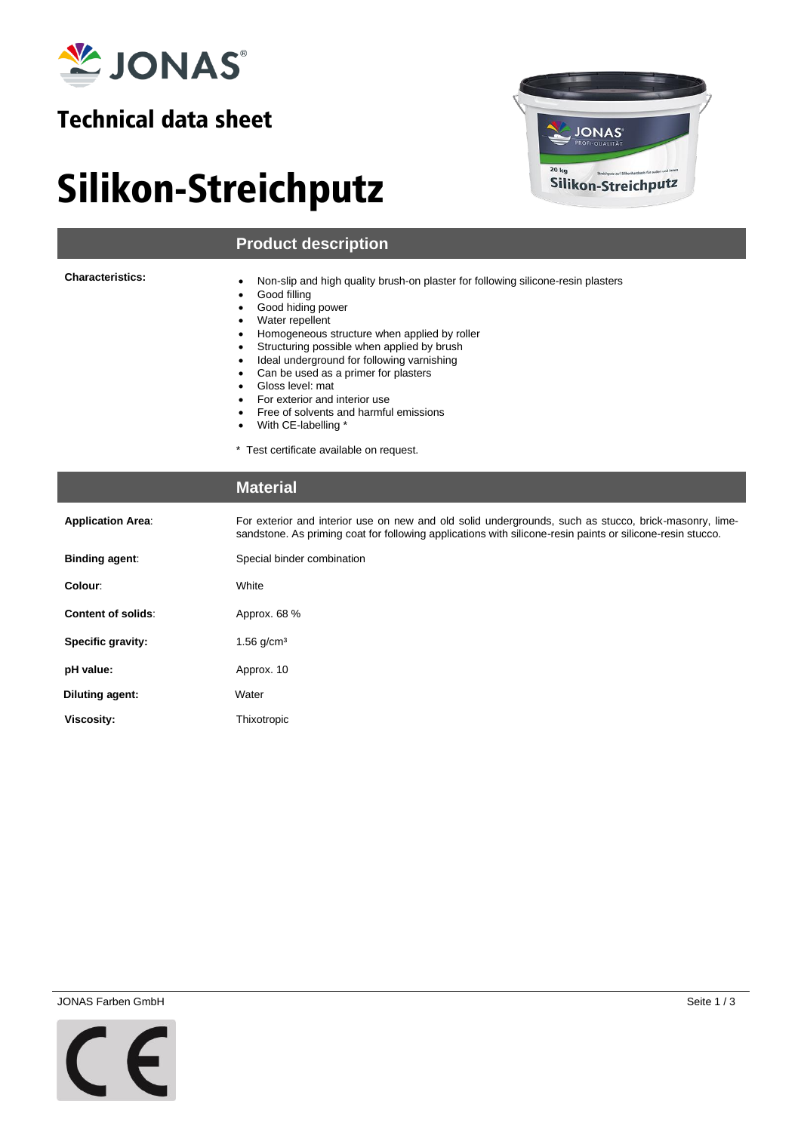

### Technical data sheet

## Silikon-Streichputz



#### **Product description**

**Characteristics:**

- Non-slip and high quality brush-on plaster for following silicone-resin plasters
- Good filling
- Good hiding power
- Water repellent
- Homogeneous structure when applied by roller
- Structuring possible when applied by brush
- Ideal underground for following varnishing
- Can be used as a primer for plasters
- Gloss level: mat
- For exterior and interior use • Free of solvents and harmful emissions
- With CE-labelling \*
- 

\* Test certificate available on request.

#### **Material**

| <b>Application Area:</b>  | For exterior and interior use on new and old solid undergrounds, such as stucco, brick-masonry, lime-<br>sandstone. As priming coat for following applications with silicone-resin paints or silicone-resin stucco. |  |  |
|---------------------------|---------------------------------------------------------------------------------------------------------------------------------------------------------------------------------------------------------------------|--|--|
| Binding agent:            | Special binder combination                                                                                                                                                                                          |  |  |
| Colour:                   | White                                                                                                                                                                                                               |  |  |
| <b>Content of solids:</b> | Approx. 68 %                                                                                                                                                                                                        |  |  |
| Specific gravity:         | $1.56$ g/cm <sup>3</sup>                                                                                                                                                                                            |  |  |
| pH value:                 | Approx. 10                                                                                                                                                                                                          |  |  |
| Diluting agent:           | Water                                                                                                                                                                                                               |  |  |
| Viscosity:                | Thixotropic                                                                                                                                                                                                         |  |  |

JONAS Farben GmbH Seite 1 / 3

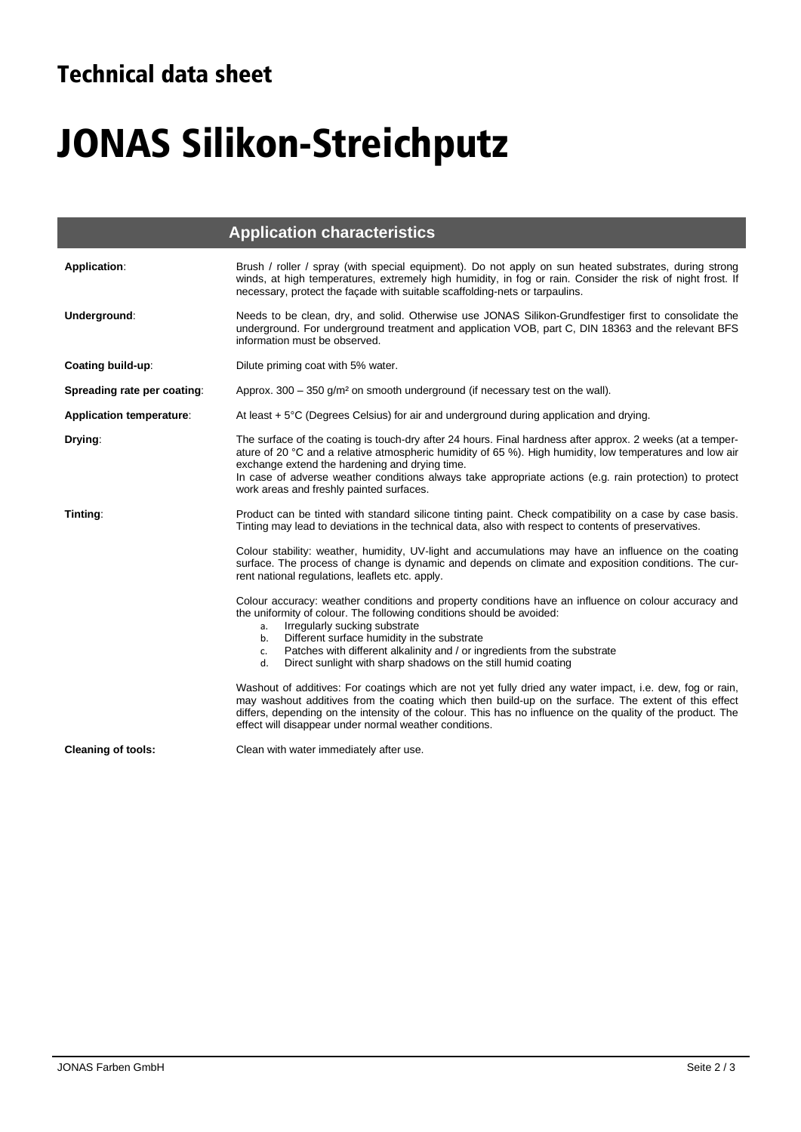## Technical data sheet

I

# JONAS Silikon-Streichputz

|                                 | <b>Application characteristics</b>                                                                                                                                                                                                                                                                                                                                                                                                  |  |  |
|---------------------------------|-------------------------------------------------------------------------------------------------------------------------------------------------------------------------------------------------------------------------------------------------------------------------------------------------------------------------------------------------------------------------------------------------------------------------------------|--|--|
| Application:                    | Brush / roller / spray (with special equipment). Do not apply on sun heated substrates, during strong<br>winds, at high temperatures, extremely high humidity, in fog or rain. Consider the risk of night frost. If<br>necessary, protect the façade with suitable scaffolding-nets or tarpaulins.                                                                                                                                  |  |  |
| Underground:                    | Needs to be clean, dry, and solid. Otherwise use JONAS Silikon-Grundfestiger first to consolidate the<br>underground. For underground treatment and application VOB, part C, DIN 18363 and the relevant BFS<br>information must be observed.                                                                                                                                                                                        |  |  |
| Coating build-up:               | Dilute priming coat with 5% water.                                                                                                                                                                                                                                                                                                                                                                                                  |  |  |
| Spreading rate per coating:     | Approx. $300 - 350$ g/m <sup>2</sup> on smooth underground (if necessary test on the wall).                                                                                                                                                                                                                                                                                                                                         |  |  |
| <b>Application temperature:</b> | At least $+5^{\circ}$ C (Degrees Celsius) for air and underground during application and drying.                                                                                                                                                                                                                                                                                                                                    |  |  |
| Drying:                         | The surface of the coating is touch-dry after 24 hours. Final hardness after approx. 2 weeks (at a temper-<br>ature of 20 °C and a relative atmospheric humidity of 65 %). High humidity, low temperatures and low air<br>exchange extend the hardening and drying time.<br>In case of adverse weather conditions always take appropriate actions (e.g. rain protection) to protect<br>work areas and freshly painted surfaces.     |  |  |
| Tinting:                        | Product can be tinted with standard silicone tinting paint. Check compatibility on a case by case basis.<br>Tinting may lead to deviations in the technical data, also with respect to contents of preservatives.                                                                                                                                                                                                                   |  |  |
|                                 | Colour stability: weather, humidity, UV-light and accumulations may have an influence on the coating<br>surface. The process of change is dynamic and depends on climate and exposition conditions. The cur-<br>rent national regulations, leaflets etc. apply.                                                                                                                                                                     |  |  |
|                                 | Colour accuracy: weather conditions and property conditions have an influence on colour accuracy and<br>the uniformity of colour. The following conditions should be avoided:<br>Irregularly sucking substrate<br>a.<br>Different surface humidity in the substrate<br>b.<br>Patches with different alkalinity and / or ingredients from the substrate<br>c.<br>Direct sunlight with sharp shadows on the still humid coating<br>d. |  |  |
|                                 | Washout of additives: For coatings which are not yet fully dried any water impact, i.e. dew, fog or rain,<br>may washout additives from the coating which then build-up on the surface. The extent of this effect<br>differs, depending on the intensity of the colour. This has no influence on the quality of the product. The<br>effect will disappear under normal weather conditions.                                          |  |  |
| <b>Cleaning of tools:</b>       | Clean with water immediately after use.                                                                                                                                                                                                                                                                                                                                                                                             |  |  |